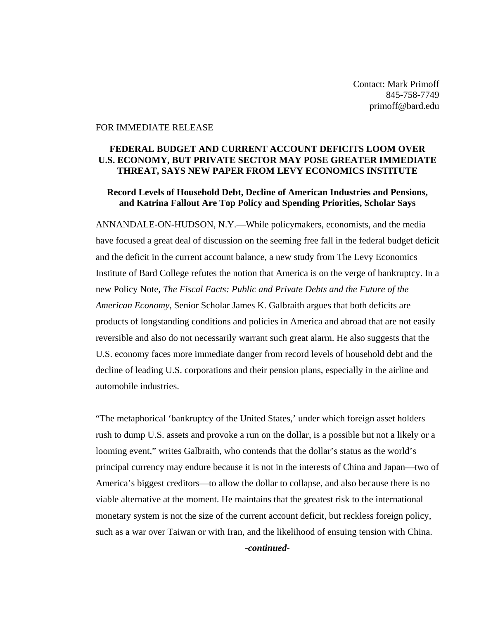Contact: Mark Primoff 845-758-7749 primoff@bard.edu

## FOR IMMEDIATE RELEASE

## **FEDERAL BUDGET AND CURRENT ACCOUNT DEFICITS LOOM OVER U.S. ECONOMY, BUT PRIVATE SECTOR MAY POSE GREATER IMMEDIATE THREAT, SAYS NEW PAPER FROM LEVY ECONOMICS INSTITUTE**

## **Record Levels of Household Debt, Decline of American Industries and Pensions, and Katrina Fallout Are Top Policy and Spending Priorities, Scholar Says**

ANNANDALE-ON-HUDSON, N.Y.—While policymakers, economists, and the media have focused a great deal of discussion on the seeming free fall in the federal budget deficit and the deficit in the current account balance, a new study from The Levy Economics Institute of Bard College refutes the notion that America is on the verge of bankruptcy. In a new Policy Note, *The Fiscal Facts: Public and Private Debts and the Future of the American Economy*, Senior Scholar James K. Galbraith argues that both deficits are products of longstanding conditions and policies in America and abroad that are not easily reversible and also do not necessarily warrant such great alarm. He also suggests that the U.S. economy faces more immediate danger from record levels of household debt and the decline of leading U.S. corporations and their pension plans, especially in the airline and automobile industries.

"The metaphorical 'bankruptcy of the United States,' under which foreign asset holders rush to dump U.S. assets and provoke a run on the dollar, is a possible but not a likely or a looming event," writes Galbraith, who contends that the dollar's status as the world's principal currency may endure because it is not in the interests of China and Japan—two of America's biggest creditors—to allow the dollar to collapse, and also because there is no viable alternative at the moment. He maintains that the greatest risk to the international monetary system is not the size of the current account deficit, but reckless foreign policy, such as a war over Taiwan or with Iran, and the likelihood of ensuing tension with China. *-continued-*